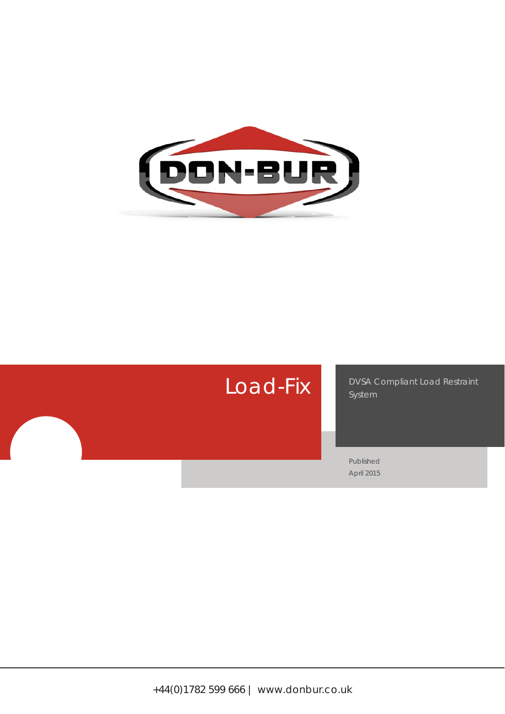

# Load-Fix

DVSA Compliant Load Restraint System

Published April 2015

+44(0)1782 599 666 | www.donbur.co.uk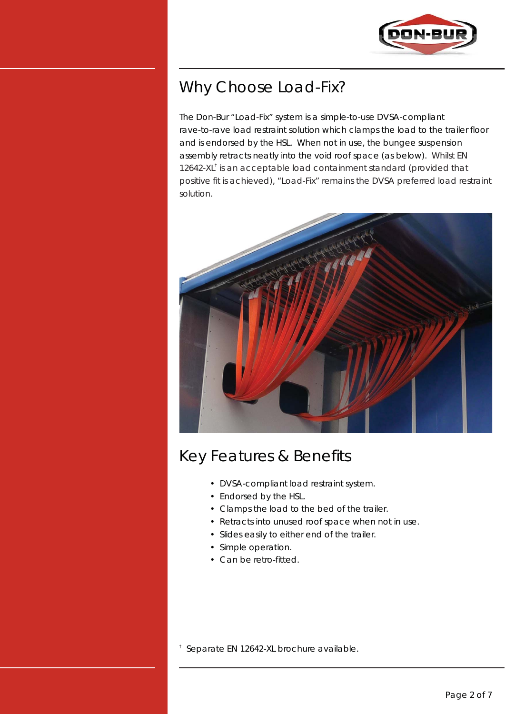

# Why Choose Load-Fix?

The Don-Bur "Load-Fix" system is a simple-to-use DVSA-compliant rave-to-rave load restraint solution which clamps the load to the trailer floor and is endorsed by the HSL. When not in use, the bungee suspension assembly retracts neatly into the void roof space (as below). Whilst EN 12642-XL<sup>†</sup> is an acceptable load containment standard (provided that positive fit is achieved), "Load-Fix" remains the DVSA preferred load restraint solution.



## Key Features & Benefits

- DVSA-compliant load restraint system.
- Endorsed by the HSL.
- Clamps the load to the bed of the trailer.
- Retracts into unused roof space when not in use.
- Slides easily to either end of the trailer.
- Simple operation.
- Can be retro-fitted.

† Separate EN 12642-XL brochure available.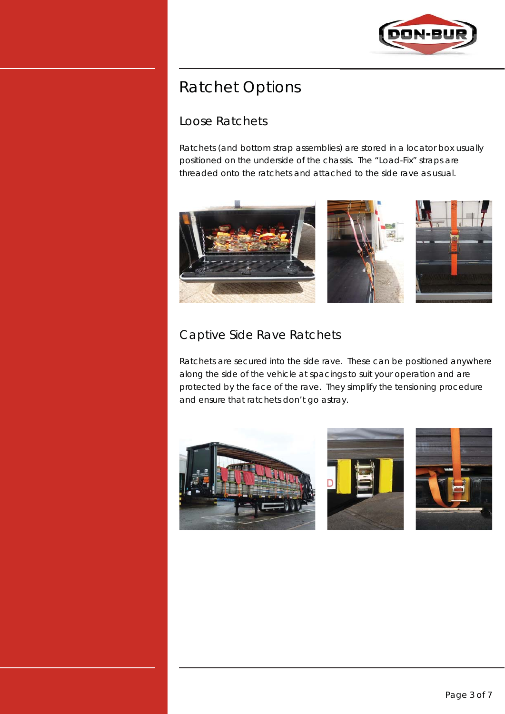

# Ratchet Options

### Loose Ratchets

Ratchets (and bottom strap assemblies) are stored in a locator box usually positioned on the underside of the chassis. The "Load-Fix" straps are threaded onto the ratchets and attached to the side rave as usual.



### Captive Side Rave Ratchets

Ratchets are secured into the side rave. These can be positioned anywhere along the side of the vehicle at spacings to suit your operation and are protected by the face of the rave. They simplify the tensioning procedure and ensure that ratchets don't go astray.

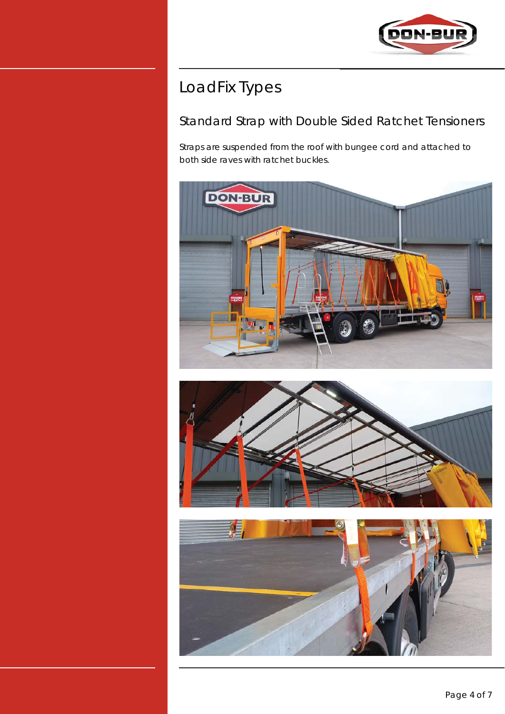

# LoadFix Types

### Standard Strap with Double Sided Ratchet Tensioners

Straps are suspended from the roof with bungee cord and attached to both side raves with ratchet buckles.





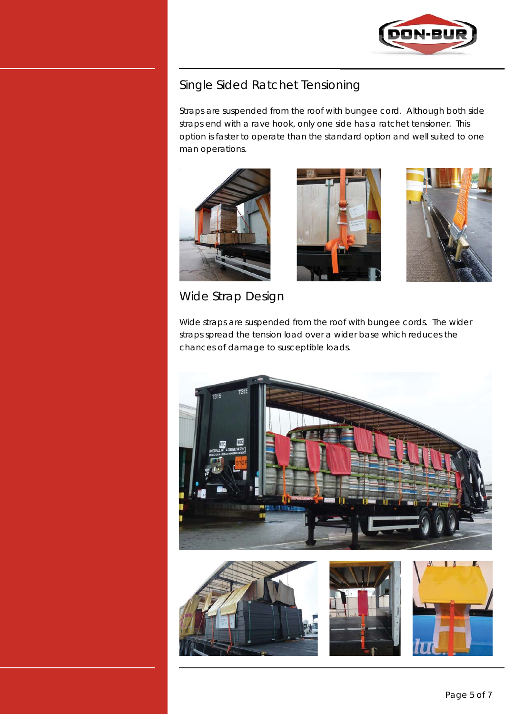

#### Single Sided Ratchet Tensioning

Straps are suspended from the roof with bungee cord. Although both side straps end with a rave hook, only one side has a ratchet tensioner. This option is faster to operate than the standard option and well suited to one man operations.







Wide Strap Design

Wide straps are suspended from the roof with bungee cords. The wider straps spread the tension load over a wider base which reduces the chances of damage to susceptible loads.







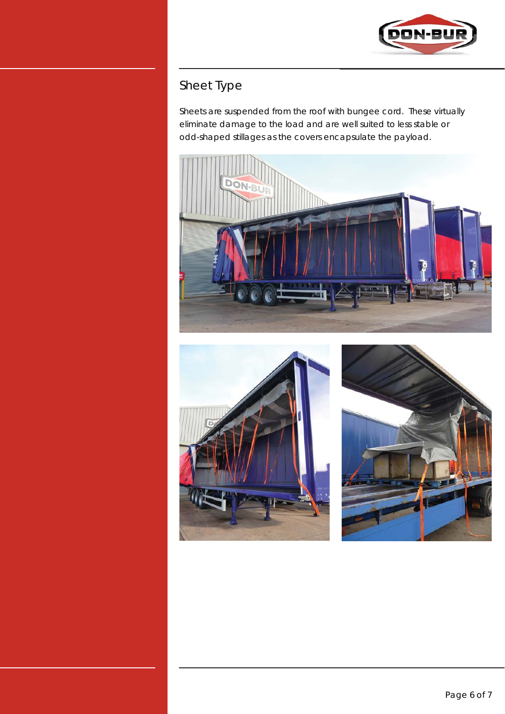

## Sheet Type

Sheets are suspended from the roof with bungee cord. These virtually eliminate damage to the load and are well suited to less stable or odd-shaped stillages as the covers encapsulate the payload.